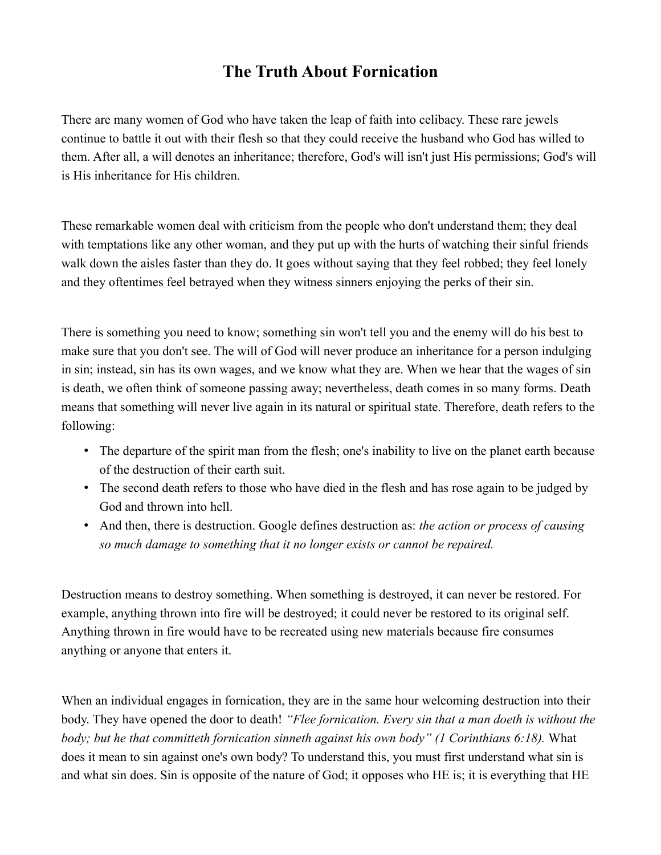## **The Truth About Fornication**

There are many women of God who have taken the leap of faith into celibacy. These rare jewels continue to battle it out with their flesh so that they could receive the husband who God has willed to them. After all, a will denotes an inheritance; therefore, God's will isn't just His permissions; God's will is His inheritance for His children.

These remarkable women deal with criticism from the people who don't understand them; they deal with temptations like any other woman, and they put up with the hurts of watching their sinful friends walk down the aisles faster than they do. It goes without saying that they feel robbed; they feel lonely and they oftentimes feel betrayed when they witness sinners enjoying the perks of their sin.

There is something you need to know; something sin won't tell you and the enemy will do his best to make sure that you don't see. The will of God will never produce an inheritance for a person indulging in sin; instead, sin has its own wages, and we know what they are. When we hear that the wages of sin is death, we often think of someone passing away; nevertheless, death comes in so many forms. Death means that something will never live again in its natural or spiritual state. Therefore, death refers to the following:

- The departure of the spirit man from the flesh; one's inability to live on the planet earth because of the destruction of their earth suit.
- The second death refers to those who have died in the flesh and has rose again to be judged by God and thrown into hell.
- And then, there is destruction. Google defines destruction as: *the action or process of causing so much damage to something that it no longer exists or cannot be repaired.*

Destruction means to destroy something. When something is destroyed, it can never be restored. For example, anything thrown into fire will be destroyed; it could never be restored to its original self. Anything thrown in fire would have to be recreated using new materials because fire consumes anything or anyone that enters it.

When an individual engages in fornication, they are in the same hour welcoming destruction into their body. They have opened the door to death! *"Flee fornication. Every sin that a man doeth is without the body; but he that committeth fornication sinneth against his own body" (1 Corinthians 6:18).* What does it mean to sin against one's own body? To understand this, you must first understand what sin is and what sin does. Sin is opposite of the nature of God; it opposes who HE is; it is everything that HE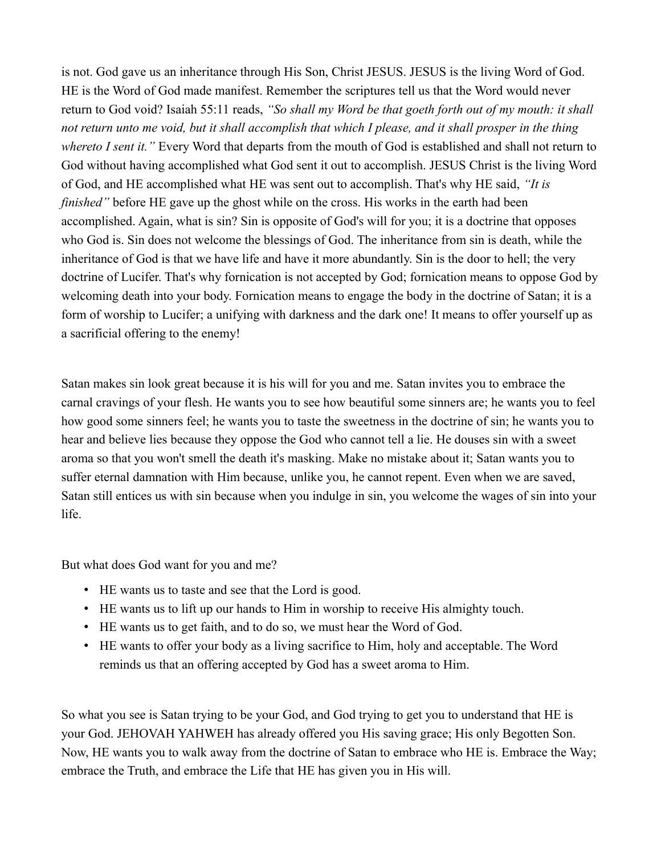is not. God gave us an inheritance through His Son, Christ JESUS. JESUS is the living Word of God. HE is the Word of God made manifest. Remember the scriptures tell us that the Word would never return to God void? Isaiah 55:11 reads, *"So shall my Word be that goeth forth out of my mouth: it shall not return unto me void, but it shall accomplish that which I please, and it shall prosper in the thing whereto I sent it."* Every Word that departs from the mouth of God is established and shall not return to God without having accomplished what God sent it out to accomplish. JESUS Christ is the living Word of God, and HE accomplished what HE was sent out to accomplish. That's why HE said, *"It is finished*" before HE gave up the ghost while on the cross. His works in the earth had been accomplished. Again, what is sin? Sin is opposite of God's will for you; it is a doctrine that opposes who God is. Sin does not welcome the blessings of God. The inheritance from sin is death, while the inheritance of God is that we have life and have it more abundantly. Sin is the door to hell; the very doctrine of Lucifer. That's why fornication is not accepted by God; fornication means to oppose God by welcoming death into your body. Fornication means to engage the body in the doctrine of Satan; it is a form of worship to Lucifer; a unifying with darkness and the dark one! It means to offer yourself up as a sacrificial offering to the enemy!

Satan makes sin look great because it is his will for you and me. Satan invites you to embrace the carnal cravings of your flesh. He wants you to see how beautiful some sinners are; he wants you to feel how good some sinners feel; he wants you to taste the sweetness in the doctrine of sin; he wants you to hear and believe lies because they oppose the God who cannot tell a lie. He douses sin with a sweet aroma so that you won't smell the death it's masking. Make no mistake about it; Satan wants you to suffer eternal damnation with Him because, unlike you, he cannot repent. Even when we are saved, Satan still entices us with sin because when you indulge in sin, you welcome the wages of sin into your life.

But what does God want for you and me?

- HE wants us to taste and see that the Lord is good.
- HE wants us to lift up our hands to Him in worship to receive His almighty touch.
- HE wants us to get faith, and to do so, we must hear the Word of God.
- HE wants to offer your body as a living sacrifice to Him, holy and acceptable. The Word reminds us that an offering accepted by God has a sweet aroma to Him.

So what you see is Satan trying to be your God, and God trying to get you to understand that HE is your God. JEHOVAH YAHWEH has already offered you His saving grace; His only Begotten Son. Now, HE wants you to walk away from the doctrine of Satan to embrace who HE is. Embrace the Way; embrace the Truth, and embrace the Life that HE has given you in His will.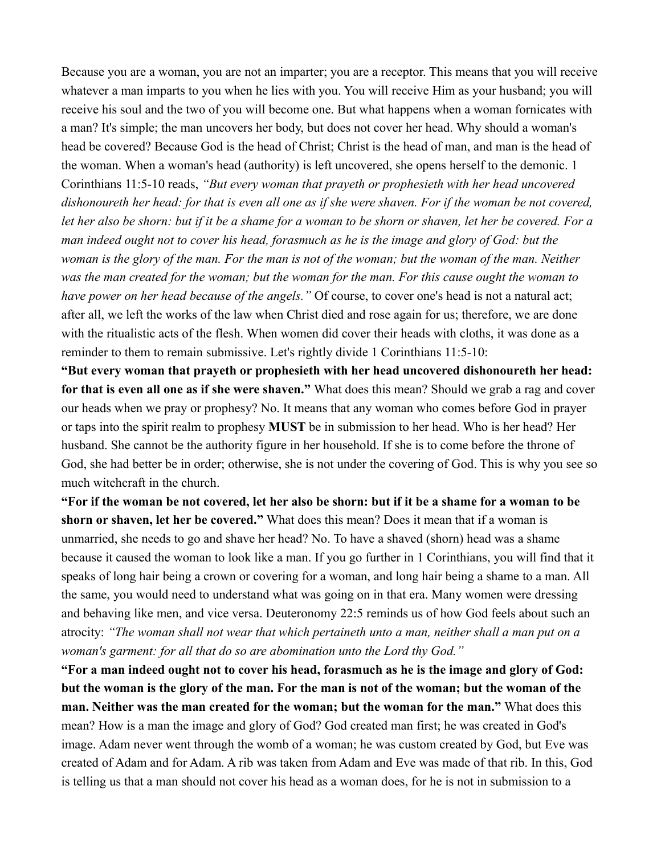Because you are a woman, you are not an imparter; you are a receptor. This means that you will receive whatever a man imparts to you when he lies with you. You will receive Him as your husband; you will receive his soul and the two of you will become one. But what happens when a woman fornicates with a man? It's simple; the man uncovers her body, but does not cover her head. Why should a woman's head be covered? Because God is the head of Christ; Christ is the head of man, and man is the head of the woman. When a woman's head (authority) is left uncovered, she opens herself to the demonic. 1 Corinthians 11:5-10 reads, *"But every woman that prayeth or prophesieth with her head uncovered dishonoureth her head: for that is even all one as if she were shaven. For if the woman be not covered, let her also be shorn: but if it be a shame for a woman to be shorn or shaven, let her be covered. For a man indeed ought not to cover his head, forasmuch as he is the image and glory of God: but the*  woman is the glory of the man. For the man is not of the woman; but the woman of the man. Neither *was the man created for the woman; but the woman for the man. For this cause ought the woman to have power on her head because of the angels."* Of course, to cover one's head is not a natural act; after all, we left the works of the law when Christ died and rose again for us; therefore, we are done with the ritualistic acts of the flesh. When women did cover their heads with cloths, it was done as a reminder to them to remain submissive. Let's rightly divide 1 Corinthians 11:5-10:

**"But every woman that prayeth or prophesieth with her head uncovered dishonoureth her head: for that is even all one as if she were shaven."** What does this mean? Should we grab a rag and cover our heads when we pray or prophesy? No. It means that any woman who comes before God in prayer or taps into the spirit realm to prophesy **MUST** be in submission to her head. Who is her head? Her husband. She cannot be the authority figure in her household. If she is to come before the throne of God, she had better be in order; otherwise, she is not under the covering of God. This is why you see so much witchcraft in the church.

**"For if the woman be not covered, let her also be shorn: but if it be a shame for a woman to be shorn or shaven, let her be covered."** What does this mean? Does it mean that if a woman is unmarried, she needs to go and shave her head? No. To have a shaved (shorn) head was a shame because it caused the woman to look like a man. If you go further in 1 Corinthians, you will find that it speaks of long hair being a crown or covering for a woman, and long hair being a shame to a man. All the same, you would need to understand what was going on in that era. Many women were dressing and behaving like men, and vice versa. Deuteronomy 22:5 reminds us of how God feels about such an atrocity: *"The woman shall not wear that which pertaineth unto a man, neither shall a man put on a woman's garment: for all that do so are abomination unto the Lord thy God."*

**"For a man indeed ought not to cover his head, forasmuch as he is the image and glory of God: but the woman is the glory of the man. For the man is not of the woman; but the woman of the man. Neither was the man created for the woman; but the woman for the man."** What does this mean? How is a man the image and glory of God? God created man first; he was created in God's image. Adam never went through the womb of a woman; he was custom created by God, but Eve was created of Adam and for Adam. A rib was taken from Adam and Eve was made of that rib. In this, God is telling us that a man should not cover his head as a woman does, for he is not in submission to a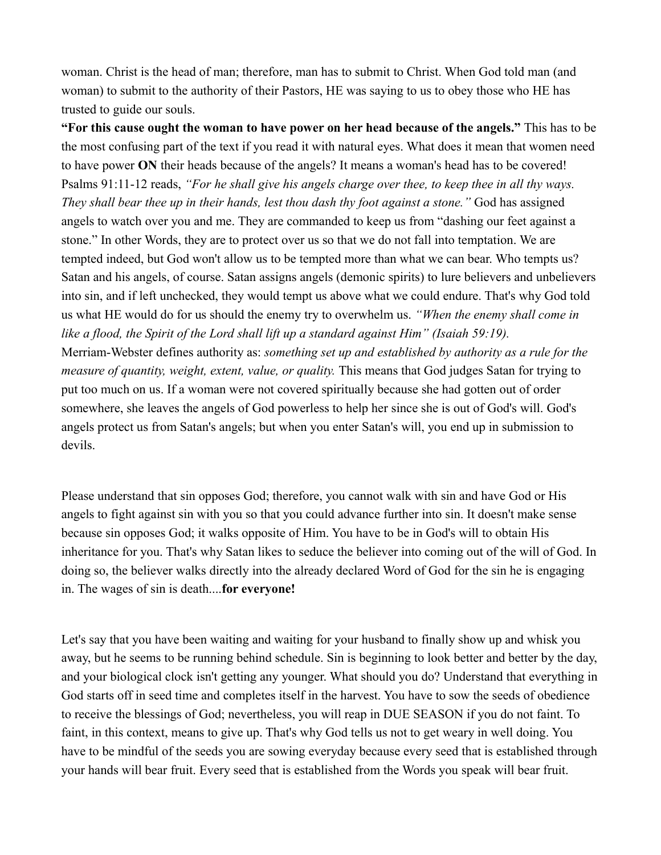woman. Christ is the head of man; therefore, man has to submit to Christ. When God told man (and woman) to submit to the authority of their Pastors, HE was saying to us to obey those who HE has trusted to guide our souls.

**"For this cause ought the woman to have power on her head because of the angels."** This has to be the most confusing part of the text if you read it with natural eyes. What does it mean that women need to have power **ON** their heads because of the angels? It means a woman's head has to be covered! Psalms 91:11-12 reads, *"For he shall give his angels charge over thee, to keep thee in all thy ways. They shall bear thee up in their hands, lest thou dash thy foot against a stone.* " God has assigned angels to watch over you and me. They are commanded to keep us from "dashing our feet against a stone." In other Words, they are to protect over us so that we do not fall into temptation. We are tempted indeed, but God won't allow us to be tempted more than what we can bear. Who tempts us? Satan and his angels, of course. Satan assigns angels (demonic spirits) to lure believers and unbelievers into sin, and if left unchecked, they would tempt us above what we could endure. That's why God told us what HE would do for us should the enemy try to overwhelm us. *"When the enemy shall come in like a flood, the Spirit of the Lord shall lift up a standard against Him" (Isaiah 59:19).* Merriam-Webster defines authority as: *something set up and established by authority as a rule for the measure of quantity, weight, extent, value, or quality.* This means that God judges Satan for trying to put too much on us. If a woman were not covered spiritually because she had gotten out of order somewhere, she leaves the angels of God powerless to help her since she is out of God's will. God's angels protect us from Satan's angels; but when you enter Satan's will, you end up in submission to devils.

Please understand that sin opposes God; therefore, you cannot walk with sin and have God or His angels to fight against sin with you so that you could advance further into sin. It doesn't make sense because sin opposes God; it walks opposite of Him. You have to be in God's will to obtain His inheritance for you. That's why Satan likes to seduce the believer into coming out of the will of God. In doing so, the believer walks directly into the already declared Word of God for the sin he is engaging in. The wages of sin is death....**for everyone!**

Let's say that you have been waiting and waiting for your husband to finally show up and whisk you away, but he seems to be running behind schedule. Sin is beginning to look better and better by the day, and your biological clock isn't getting any younger. What should you do? Understand that everything in God starts off in seed time and completes itself in the harvest. You have to sow the seeds of obedience to receive the blessings of God; nevertheless, you will reap in DUE SEASON if you do not faint. To faint, in this context, means to give up. That's why God tells us not to get weary in well doing. You have to be mindful of the seeds you are sowing everyday because every seed that is established through your hands will bear fruit. Every seed that is established from the Words you speak will bear fruit.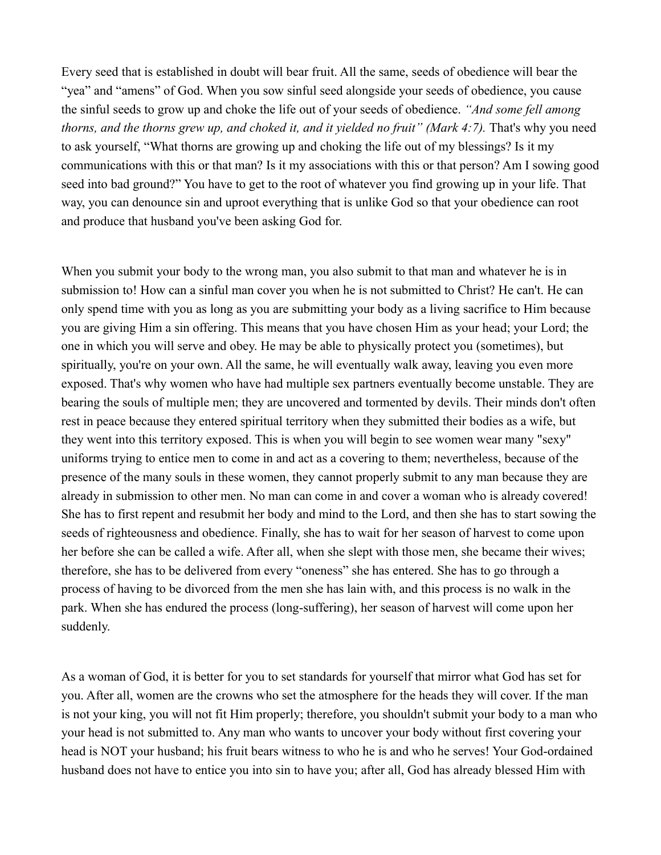Every seed that is established in doubt will bear fruit. All the same, seeds of obedience will bear the "yea" and "amens" of God. When you sow sinful seed alongside your seeds of obedience, you cause the sinful seeds to grow up and choke the life out of your seeds of obedience. *"And some fell among thorns, and the thorns grew up, and choked it, and it yielded no fruit" (Mark 4:7).* That's why you need to ask yourself, "What thorns are growing up and choking the life out of my blessings? Is it my communications with this or that man? Is it my associations with this or that person? Am I sowing good seed into bad ground?" You have to get to the root of whatever you find growing up in your life. That way, you can denounce sin and uproot everything that is unlike God so that your obedience can root and produce that husband you've been asking God for.

When you submit your body to the wrong man, you also submit to that man and whatever he is in submission to! How can a sinful man cover you when he is not submitted to Christ? He can't. He can only spend time with you as long as you are submitting your body as a living sacrifice to Him because you are giving Him a sin offering. This means that you have chosen Him as your head; your Lord; the one in which you will serve and obey. He may be able to physically protect you (sometimes), but spiritually, you're on your own. All the same, he will eventually walk away, leaving you even more exposed. That's why women who have had multiple sex partners eventually become unstable. They are bearing the souls of multiple men; they are uncovered and tormented by devils. Their minds don't often rest in peace because they entered spiritual territory when they submitted their bodies as a wife, but they went into this territory exposed. This is when you will begin to see women wear many "sexy" uniforms trying to entice men to come in and act as a covering to them; nevertheless, because of the presence of the many souls in these women, they cannot properly submit to any man because they are already in submission to other men. No man can come in and cover a woman who is already covered! She has to first repent and resubmit her body and mind to the Lord, and then she has to start sowing the seeds of righteousness and obedience. Finally, she has to wait for her season of harvest to come upon her before she can be called a wife. After all, when she slept with those men, she became their wives; therefore, she has to be delivered from every "oneness" she has entered. She has to go through a process of having to be divorced from the men she has lain with, and this process is no walk in the park. When she has endured the process (long-suffering), her season of harvest will come upon her suddenly.

As a woman of God, it is better for you to set standards for yourself that mirror what God has set for you. After all, women are the crowns who set the atmosphere for the heads they will cover. If the man is not your king, you will not fit Him properly; therefore, you shouldn't submit your body to a man who your head is not submitted to. Any man who wants to uncover your body without first covering your head is NOT your husband; his fruit bears witness to who he is and who he serves! Your God-ordained husband does not have to entice you into sin to have you; after all, God has already blessed Him with